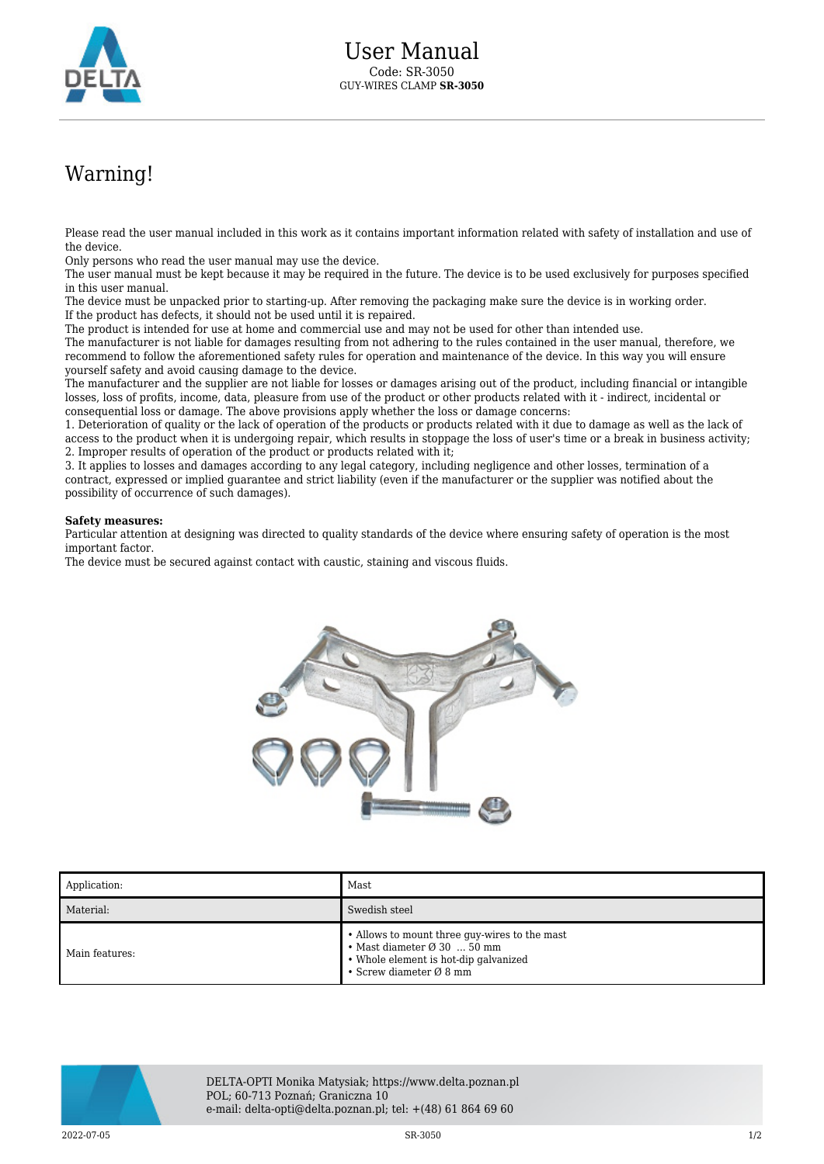

## Warning!

Please read the user manual included in this work as it contains important information related with safety of installation and use of the device.

Only persons who read the user manual may use the device.

The user manual must be kept because it may be required in the future. The device is to be used exclusively for purposes specified in this user manual.

The device must be unpacked prior to starting-up. After removing the packaging make sure the device is in working order. If the product has defects, it should not be used until it is repaired.

The product is intended for use at home and commercial use and may not be used for other than intended use.

The manufacturer is not liable for damages resulting from not adhering to the rules contained in the user manual, therefore, we recommend to follow the aforementioned safety rules for operation and maintenance of the device. In this way you will ensure yourself safety and avoid causing damage to the device.

The manufacturer and the supplier are not liable for losses or damages arising out of the product, including financial or intangible losses, loss of profits, income, data, pleasure from use of the product or other products related with it - indirect, incidental or consequential loss or damage. The above provisions apply whether the loss or damage concerns:

1. Deterioration of quality or the lack of operation of the products or products related with it due to damage as well as the lack of access to the product when it is undergoing repair, which results in stoppage the loss of user's time or a break in business activity; 2. Improper results of operation of the product or products related with it;

3. It applies to losses and damages according to any legal category, including negligence and other losses, termination of a contract, expressed or implied guarantee and strict liability (even if the manufacturer or the supplier was notified about the possibility of occurrence of such damages).

## **Safety measures:**

Particular attention at designing was directed to quality standards of the device where ensuring safety of operation is the most important factor.

The device must be secured against contact with caustic, staining and viscous fluids.



| Application:   | Mast                                                                                                                                                                             |
|----------------|----------------------------------------------------------------------------------------------------------------------------------------------------------------------------------|
| Material:      | Swedish steel                                                                                                                                                                    |
| Main features: | • Allows to mount three guy-wires to the mast<br>$\bullet$ Mast diameter $\varnothing$ 30  50 mm<br>• Whole element is hot-dip galvanized<br>• Screw diameter $\varnothing$ 8 mm |



DELTA-OPTI Monika Matysiak; https://www.delta.poznan.pl POL; 60-713 Poznań; Graniczna 10 e-mail: delta-opti@delta.poznan.pl; tel: +(48) 61 864 69 60